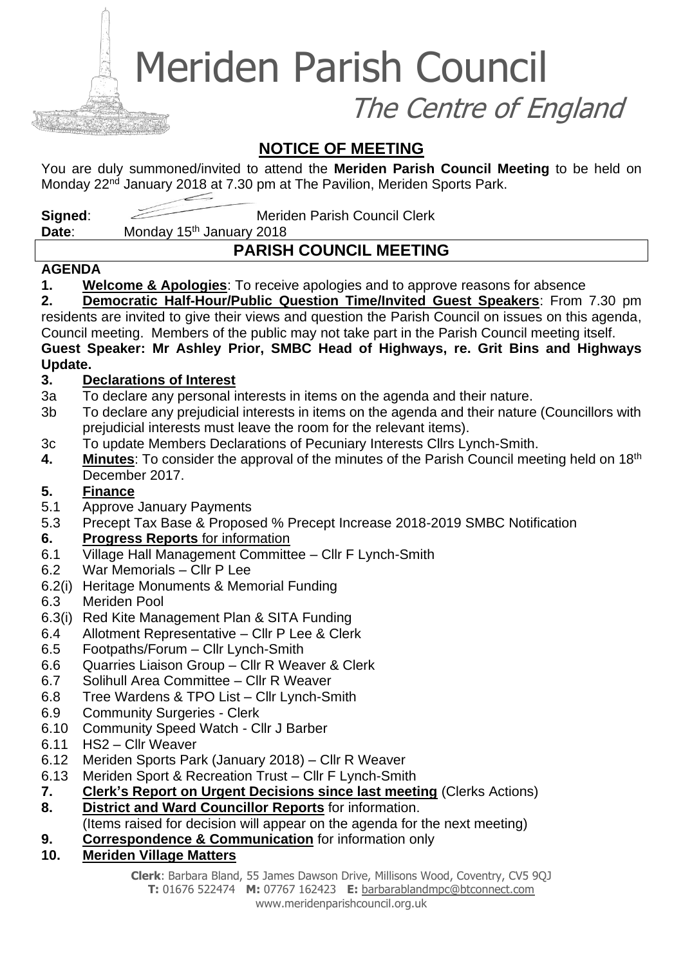Meriden Parish Council

The Centre of England

### **NOTICE OF MEETING**

You are duly summoned/invited to attend the **Meriden Parish Council Meeting** to be held on Monday 22<sup>nd</sup> January 2018 at 7.30 pm at The Pavilion, Meriden Sports Park.

**Signed:** Meriden Parish Council Clerk

Date: Monday 15<sup>th</sup> January 2018

## **PARISH COUNCIL MEETING**

### **AGENDA**

**1. Welcome & Apologies**: To receive apologies and to approve reasons for absence

**2. Democratic Half-Hour/Public Question Time/Invited Guest Speakers**: From 7.30 pm residents are invited to give their views and question the Parish Council on issues on this agenda, Council meeting. Members of the public may not take part in the Parish Council meeting itself. **Guest Speaker: Mr Ashley Prior, SMBC Head of Highways, re. Grit Bins and Highways** 

# **Update.**

### **3. Declarations of Interest**

- 3a To declare any personal interests in items on the agenda and their nature.
- 3b To declare any prejudicial interests in items on the agenda and their nature (Councillors with prejudicial interests must leave the room for the relevant items).
- 3c To update Members Declarations of Pecuniary Interests Cllrs Lynch-Smith.
- **4. Minutes**: To consider the approval of the minutes of the Parish Council meeting held on 18th December 2017.

### **5. Finance**

- 5.1 Approve January Payments
- 5.3 Precept Tax Base & Proposed % Precept Increase 2018-2019 SMBC Notification
- **6. Progress Reports** for information
- 6.1 Village Hall Management Committee Cllr F Lynch-Smith
- 6.2 War Memorials Cllr P Lee
- 6.2(i) Heritage Monuments & Memorial Funding
- 6.3 Meriden Pool
- 6.3(i) Red Kite Management Plan & SITA Funding
- 6.4 Allotment Representative Cllr P Lee & Clerk
- 6.5 Footpaths/Forum Cllr Lynch-Smith
- 6.6 Quarries Liaison Group Cllr R Weaver & Clerk
- 6.7 Solihull Area Committee Cllr R Weaver
- 6.8 Tree Wardens & TPO List Cllr Lynch-Smith
- 6.9 Community Surgeries Clerk
- 6.10 Community Speed Watch Cllr J Barber
- 6.11 HS2 Cllr Weaver
- 6.12 Meriden Sports Park (January 2018) Cllr R Weaver
- 6.13 Meriden Sport & Recreation Trust Cllr F Lynch-Smith
- **7. Clerk's Report on Urgent Decisions since last meeting** (Clerks Actions)
- **8. District and Ward Councillor Reports** for information.
- (Items raised for decision will appear on the agenda for the next meeting)
- **9. Correspondence & Communication** for information only
- **10. Meriden Village Matters**

**Clerk**: Barbara Bland, 55 James Dawson Drive, Millisons Wood, Coventry, CV5 9QJ